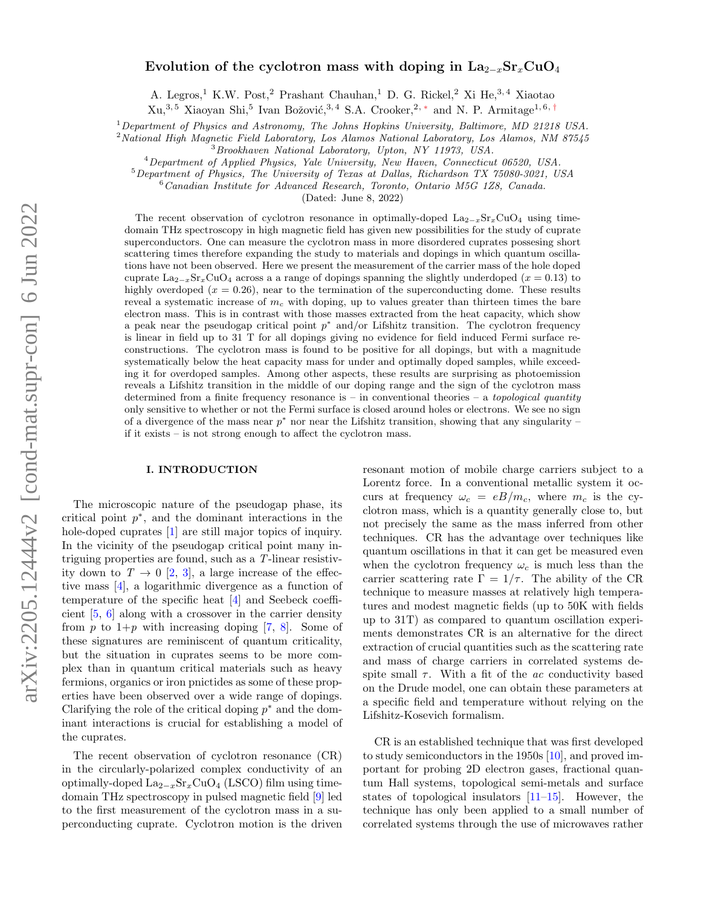# Evolution of the cyclotron mass with doping in  $\text{La}_{2-x}\text{Sr}_x\text{CuO}_4$

A. Legros,<sup>1</sup> K.W. Post,<sup>2</sup> Prashant Chauhan,<sup>1</sup> D. G. Rickel,<sup>2</sup> Xi He,<sup>3,4</sup> Xiaotao

 $Xu,^{3,5}$  Xiaoyan Shi,<sup>5</sup> Ivan Božović,<sup>3,4</sup> S.A. Crooker,<sup>2,\*</sup> and N. P. Armitage<sup>1,6,[†](#page-7-1)</sup>

 $1$ Department of Physics and Astronomy, The Johns Hopkins University, Baltimore, MD 21218 USA.

<sup>2</sup> National High Magnetic Field Laboratory, Los Alamos National Laboratory, Los Alamos, NM 87545

<sup>3</sup>Brookhaven National Laboratory, Upton, NY 11973, USA.

<sup>4</sup>Department of Applied Physics, Yale University, New Haven, Connecticut 06520, USA.

<sup>5</sup>Department of Physics, The University of Texas at Dallas, Richardson TX 75080-3021, USA

<sup>6</sup>Canadian Institute for Advanced Research, Toronto, Ontario M5G 1Z8, Canada.

(Dated: June 8, 2022)

The recent observation of cyclotron resonance in optimally-doped  $\text{La}_{2-x}\text{Sr}_x\text{CuO}_4$  using timedomain THz spectroscopy in high magnetic field has given new possibilities for the study of cuprate superconductors. One can measure the cyclotron mass in more disordered cuprates possesing short scattering times therefore expanding the study to materials and dopings in which quantum oscillations have not been observed. Here we present the measurement of the carrier mass of the hole doped cuprate La<sub>2−x</sub>Sr<sub>x</sub>CuO<sub>4</sub> across a a range of dopings spanning the slightly underdoped ( $x = 0.13$ ) to highly overdoped  $(x = 0.26)$ , near to the termination of the superconducting dome. These results reveal a systematic increase of  $m<sub>c</sub>$  with doping, up to values greater than thirteen times the bare electron mass. This is in contrast with those masses extracted from the heat capacity, which show a peak near the pseudogap critical point  $p^*$  and/or Lifshitz transition. The cyclotron frequency is linear in field up to 31 T for all dopings giving no evidence for field induced Fermi surface reconstructions. The cyclotron mass is found to be positive for all dopings, but with a magnitude systematically below the heat capacity mass for under and optimally doped samples, while exceeding it for overdoped samples. Among other aspects, these results are surprising as photoemission reveals a Lifshitz transition in the middle of our doping range and the sign of the cyclotron mass determined from a finite frequency resonance is – in conventional theories – a topological quantity only sensitive to whether or not the Fermi surface is closed around holes or electrons. We see no sign of a divergence of the mass near  $p^*$  nor near the Lifshitz transition, showing that any singularity – if it exists – is not strong enough to affect the cyclotron mass.

## I. INTRODUCTION

The microscopic nature of the pseudogap phase, its critical point  $p^*$ , and the dominant interactions in the hole-doped cuprates [\[1\]](#page-7-2) are still major topics of inquiry. In the vicinity of the pseudogap critical point many intriguing properties are found, such as a T-linear resistivity down to  $T \to 0$  [\[2,](#page-7-3) [3\]](#page-7-4), a large increase of the effective mass [\[4\]](#page-7-5), a logarithmic divergence as a function of temperature of the specific heat [\[4\]](#page-7-5) and Seebeck coefficient [\[5,](#page-8-0) [6\]](#page-8-1) along with a crossover in the carrier density from p to  $1+p$  with increasing doping [\[7,](#page-8-2) [8\]](#page-8-3). Some of these signatures are reminiscent of quantum criticality, but the situation in cuprates seems to be more complex than in quantum critical materials such as heavy fermions, organics or iron pnictides as some of these properties have been observed over a wide range of dopings. Clarifying the role of the critical doping  $p^*$  and the dominant interactions is crucial for establishing a model of the cuprates.

The recent observation of cyclotron resonance (CR) in the circularly-polarized complex conductivity of an optimally-doped  $\text{La}_{2-x}\text{Sr}_x\text{CuO}_4$  (LSCO) film using timedomain THz spectroscopy in pulsed magnetic field [\[9\]](#page-8-4) led to the first measurement of the cyclotron mass in a superconducting cuprate. Cyclotron motion is the driven resonant motion of mobile charge carriers subject to a Lorentz force. In a conventional metallic system it occurs at frequency  $\omega_c = eB/m_c$ , where  $m_c$  is the cyclotron mass, which is a quantity generally close to, but not precisely the same as the mass inferred from other techniques. CR has the advantage over techniques like quantum oscillations in that it can get be measured even when the cyclotron frequency  $\omega_c$  is much less than the carrier scattering rate  $\Gamma = 1/\tau$ . The ability of the CR technique to measure masses at relatively high temperatures and modest magnetic fields (up to 50K with fields up to 31T) as compared to quantum oscillation experiments demonstrates CR is an alternative for the direct extraction of crucial quantities such as the scattering rate and mass of charge carriers in correlated systems despite small  $\tau$ . With a fit of the *ac* conductivity based on the Drude model, one can obtain these parameters at a specific field and temperature without relying on the Lifshitz-Kosevich formalism.

CR is an established technique that was first developed to study semiconductors in the 1950s [\[10\]](#page-8-5), and proved important for probing 2D electron gases, fractional quantum Hall systems, topological semi-metals and surface states of topological insulators [\[11–](#page-8-6)[15\]](#page-8-7). However, the technique has only been applied to a small number of correlated systems through the use of microwaves rather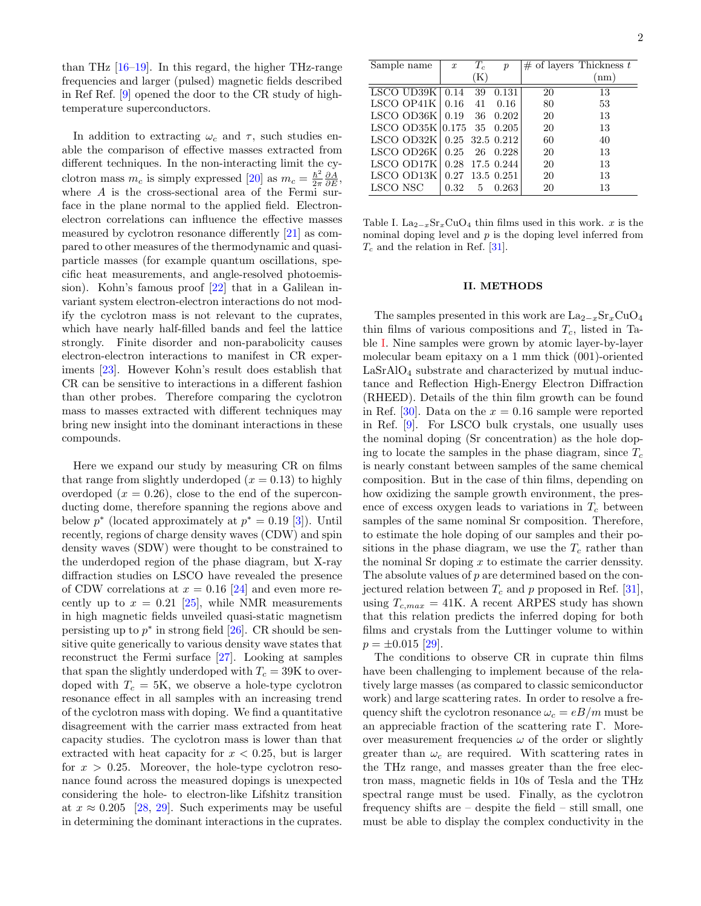than THz  $[16-19]$  $[16-19]$ . In this regard, the higher THz-range frequencies and larger (pulsed) magnetic fields described in Ref Ref. [\[9\]](#page-8-4) opened the door to the CR study of hightemperature superconductors.

In addition to extracting  $\omega_c$  and  $\tau$ , such studies enable the comparison of effective masses extracted from different techniques. In the non-interacting limit the cyclotron mass  $m_c$  is simply expressed [\[20\]](#page-8-10) as  $m_c = \frac{\hbar^2}{2\pi}$  $\frac{\hbar^2}{2\pi} \frac{\partial A}{\partial E},$ where  $A$  is the cross-sectional area of the Fermi surface in the plane normal to the applied field. Electronelectron correlations can influence the effective masses measured by cyclotron resonance differently [\[21\]](#page-8-11) as compared to other measures of the thermodynamic and quasiparticle masses (for example quantum oscillations, specific heat measurements, and angle-resolved photoemission). Kohn's famous proof [\[22\]](#page-8-12) that in a Galilean invariant system electron-electron interactions do not modify the cyclotron mass is not relevant to the cuprates, which have nearly half-filled bands and feel the lattice strongly. Finite disorder and non-parabolicity causes electron-electron interactions to manifest in CR experiments [\[23\]](#page-8-13). However Kohn's result does establish that CR can be sensitive to interactions in a different fashion than other probes. Therefore comparing the cyclotron mass to masses extracted with different techniques may bring new insight into the dominant interactions in these compounds.

Here we expand our study by measuring CR on films that range from slightly underdoped  $(x = 0.13)$  to highly overdoped  $(x = 0.26)$ , close to the end of the superconducting dome, therefore spanning the regions above and below  $p^*$  (located approximately at  $p^* = 0.19$  [\[3\]](#page-7-4)). Until recently, regions of charge density waves (CDW) and spin density waves (SDW) were thought to be constrained to the underdoped region of the phase diagram, but X-ray diffraction studies on LSCO have revealed the presence of CDW correlations at  $x = 0.16$  [\[24\]](#page-8-14) and even more recently up to  $x = 0.21$  [\[25\]](#page-8-15), while NMR measurements in high magnetic fields unveiled quasi-static magnetism persisting up to  $p^*$  in strong field [\[26\]](#page-8-16). CR should be sensitive quite generically to various density wave states that reconstruct the Fermi surface [\[27\]](#page-8-17). Looking at samples that span the slightly underdoped with  $T_c = 39K$  to overdoped with  $T_c = 5K$ , we observe a hole-type cyclotron resonance effect in all samples with an increasing trend of the cyclotron mass with doping. We find a quantitative disagreement with the carrier mass extracted from heat capacity studies. The cyclotron mass is lower than that extracted with heat capacity for  $x < 0.25$ , but is larger for  $x > 0.25$ . Moreover, the hole-type cyclotron resonance found across the measured dopings is unexpected considering the hole- to electron-like Lifshitz transition at  $x \approx 0.205$  [\[28,](#page-8-18) [29\]](#page-8-19). Such experiments may be useful in determining the dominant interactions in the cuprates.

| Sample name                      | $\boldsymbol{x}$ | $T_c$          | $\boldsymbol{p}$ |    | $#$ of layers Thickness t |
|----------------------------------|------------------|----------------|------------------|----|---------------------------|
|                                  |                  | $(\mathrm{K})$ |                  |    | (nm)                      |
| LSCO UD39 $K$   0.14             |                  | 39             | 0.131            | 20 | 13                        |
| LSCO OP41K                       | 0.16             | 41             | 0.16             | 80 | 53                        |
| LSCO OD36K $\mid$ 0.19 36        |                  |                | 0.202            | 20 | 13                        |
| LSCO OD35K $ 0.175 \t35 \t0.205$ |                  |                |                  | 20 | 13                        |
| LSCO OD32K 0.25 32.5 0.212       |                  |                |                  | 60 | 40                        |
| LSCO OD26K                       | 0.25             |                | 26 0.228         | 20 | 13                        |
| LSCO OD17K                       | 0.28             |                | 17.5 0.244       | 20 | 13                        |
| LSCO OD13K                       |                  |                | 0.27 13.5 0.251  | 20 | 13                        |
| LSCO NSC                         | 0.32             | 5              | 0.263            | 20 | 13                        |

<span id="page-1-0"></span>Table I. La<sub>2−x</sub>Sr<sub>x</sub>CuO<sub>4</sub> thin films used in this work. x is the nominal doping level and  $p$  is the doping level inferred from  $T_c$  and the relation in Ref. [\[31\]](#page-8-20).

#### II. METHODS

The samples presented in this work are  $\text{La}_{2-x}\text{Sr}_x\text{CuO}_4$ thin films of various compositions and  $T_c$ , listed in Table [I.](#page-1-0) Nine samples were grown by atomic layer-by-layer molecular beam epitaxy on a 1 mm thick (001)-oriented  $LaSrAlO<sub>4</sub>$  substrate and characterized by mutual inductance and Reflection High-Energy Electron Diffraction (RHEED). Details of the thin film growth can be found in Ref. [\[30\]](#page-8-21). Data on the  $x = 0.16$  sample were reported in Ref. [\[9\]](#page-8-4). For LSCO bulk crystals, one usually uses the nominal doping (Sr concentration) as the hole doping to locate the samples in the phase diagram, since  $T_c$ is nearly constant between samples of the same chemical composition. But in the case of thin films, depending on how oxidizing the sample growth environment, the presence of excess oxygen leads to variations in  $T_c$  between samples of the same nominal Sr composition. Therefore, to estimate the hole doping of our samples and their positions in the phase diagram, we use the  $T_c$  rather than the nominal Sr doping  $x$  to estimate the carrier denssity. The absolute values of p are determined based on the conjectured relation between  $T_c$  and p proposed in Ref. [\[31\]](#page-8-20), using  $T_{c,max} = 41$ K. A recent ARPES study has shown that this relation predicts the inferred doping for both films and crystals from the Luttinger volume to within  $p = \pm 0.015$  [\[29\]](#page-8-19).

The conditions to observe CR in cuprate thin films have been challenging to implement because of the relatively large masses (as compared to classic semiconductor work) and large scattering rates. In order to resolve a frequency shift the cyclotron resonance  $\omega_c = eB/m$  must be an appreciable fraction of the scattering rate Γ. Moreover measurement frequencies  $\omega$  of the order or slightly greater than  $\omega_c$  are required. With scattering rates in the THz range, and masses greater than the free electron mass, magnetic fields in 10s of Tesla and the THz spectral range must be used. Finally, as the cyclotron frequency shifts are – despite the field – still small, one must be able to display the complex conductivity in the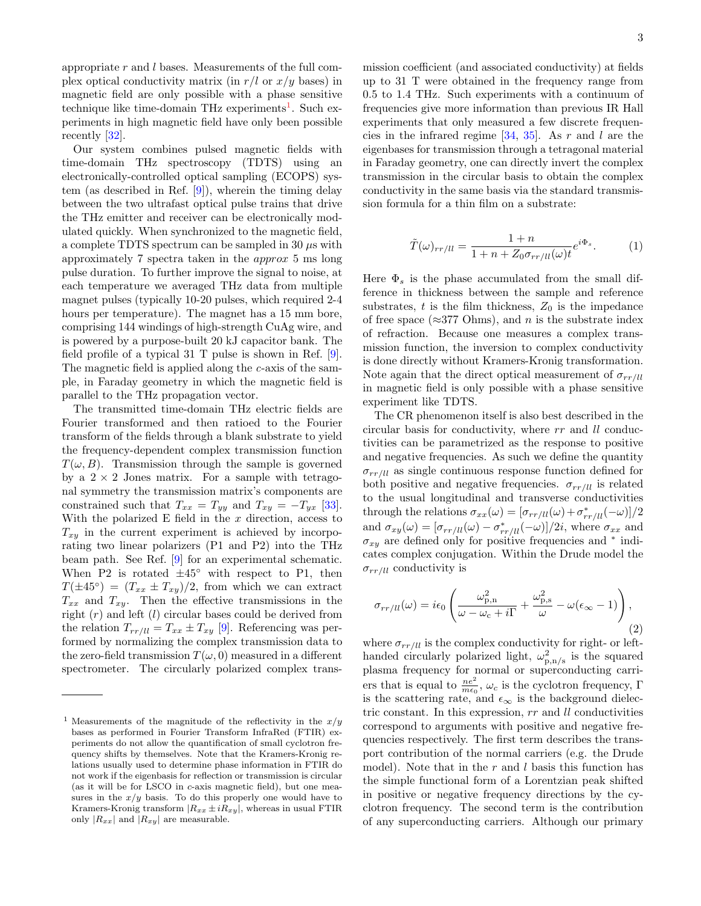appropriate  $r$  and  $l$  bases. Measurements of the full complex optical conductivity matrix (in  $r/l$  or  $x/y$  bases) in magnetic field are only possible with a phase sensitive technique like time-domain THz experiments<sup>[1](#page-2-0)</sup>. Such experiments in high magnetic field have only been possible recently [\[32\]](#page-8-22).

Our system combines pulsed magnetic fields with time-domain THz spectroscopy (TDTS) using an electronically-controlled optical sampling (ECOPS) system (as described in Ref. [\[9\]](#page-8-4)), wherein the timing delay between the two ultrafast optical pulse trains that drive the THz emitter and receiver can be electronically modulated quickly. When synchronized to the magnetic field, a complete TDTS spectrum can be sampled in 30  $\mu$ s with approximately 7 spectra taken in the approx 5 ms long pulse duration. To further improve the signal to noise, at each temperature we averaged THz data from multiple magnet pulses (typically 10-20 pulses, which required 2-4 hours per temperature). The magnet has a 15 mm bore, comprising 144 windings of high-strength CuAg wire, and is powered by a purpose-built 20 kJ capacitor bank. The field profile of a typical 31 T pulse is shown in Ref. [\[9\]](#page-8-4). The magnetic field is applied along the c-axis of the sample, in Faraday geometry in which the magnetic field is parallel to the THz propagation vector.

The transmitted time-domain THz electric fields are Fourier transformed and then ratioed to the Fourier transform of the fields through a blank substrate to yield the frequency-dependent complex transmission function  $T(\omega, B)$ . Transmission through the sample is governed by a  $2 \times 2$  Jones matrix. For a sample with tetragonal symmetry the transmission matrix's components are constrained such that  $T_{xx} = T_{yy}$  and  $T_{xy} = -T_{yx}$  [\[33\]](#page-8-23). With the polarized  $E$  field in the  $x$  direction, access to  $T_{xy}$  in the current experiment is achieved by incorporating two linear polarizers (P1 and P2) into the THz beam path. See Ref. [\[9\]](#page-8-4) for an experimental schematic. When P2 is rotated  $\pm 45^\circ$  with respect to P1, then  $T(\pm 45^{\circ}) = (T_{xx} \pm T_{xy})/2$ , from which we can extract  $T_{xx}$  and  $T_{xy}$ . Then the effective transmissions in the right  $(r)$  and left  $(l)$  circular bases could be derived from the relation  $T_{rr/ll} = T_{xx} \pm T_{xy}$  [\[9\]](#page-8-4). Referencing was performed by normalizing the complex transmission data to the zero-field transmission  $T(\omega, 0)$  measured in a different spectrometer. The circularly polarized complex transmission coefficient (and associated conductivity) at fields up to 31 T were obtained in the frequency range from 0.5 to 1.4 THz. Such experiments with a continuum of frequencies give more information than previous IR Hall experiments that only measured a few discrete frequencies in the infrared regime  $[34, 35]$  $[34, 35]$ . As r and l are the eigenbases for transmission through a tetragonal material in Faraday geometry, one can directly invert the complex transmission in the circular basis to obtain the complex conductivity in the same basis via the standard transmission formula for a thin film on a substrate:

$$
\tilde{T}(\omega)_{rr/ll} = \frac{1+n}{1+n+Z_0\sigma_{rr/ll}(\omega)t}e^{i\Phi_s}.
$$
 (1)

Here  $\Phi_s$  is the phase accumulated from the small difference in thickness between the sample and reference substrates, t is the film thickness,  $Z_0$  is the impedance of free space ( $\approx$ 377 Ohms), and n is the substrate index of refraction. Because one measures a complex transmission function, the inversion to complex conductivity is done directly without Kramers-Kronig transformation. Note again that the direct optical measurement of  $\sigma_{rr/ll}$ in magnetic field is only possible with a phase sensitive experiment like TDTS.

The CR phenomenon itself is also best described in the circular basis for conductivity, where rr and ll conductivities can be parametrized as the response to positive and negative frequencies. As such we define the quantity  $\sigma_{rr/ll}$  as single continuous response function defined for both positive and negative frequencies.  $\sigma_{rr/ll}$  is related to the usual longitudinal and transverse conductivities through the relations  $\sigma_{xx}(\omega) = [\sigma_{rr/ll}(\omega) + \sigma_{rr/ll}^*(-\omega)]/2$ and  $\sigma_{xy}(\omega) = [\sigma_{rr/ll}(\omega) - \sigma_{rr/ll}^*(-\omega)]/2i$ , where  $\sigma_{xx}$  and  $\sigma_{xy}$  are defined only for positive frequencies and  $*$  indicates complex conjugation. Within the Drude model the  $\sigma_{rr/ll}$  conductivity is

<span id="page-2-1"></span>
$$
\sigma_{rr/ll}(\omega) = i\epsilon_0 \left( \frac{\omega_{\text{p,n}}^2}{\omega - \omega_{\text{c}} + i\Gamma} + \frac{\omega_{\text{p,s}}^2}{\omega} - \omega(\epsilon_{\infty} - 1) \right),\tag{2}
$$

where  $\sigma_{rr/ll}$  is the complex conductivity for right- or lefthanded circularly polarized light,  $\omega_{\text{p},\text{n/s}}^2$  is the squared plasma frequency for normal or superconducting carriers that is equal to  $\frac{ne^2}{me_0}$ ,  $\omega_c$  is the cyclotron frequency,  $\Gamma$ is the scattering rate, and  $\epsilon_{\infty}$  is the background dielectric constant. In this expression, rr and ll conductivities correspond to arguments with positive and negative frequencies respectively. The first term describes the transport contribution of the normal carriers (e.g. the Drude model). Note that in the  $r$  and  $l$  basis this function has the simple functional form of a Lorentzian peak shifted in positive or negative frequency directions by the cyclotron frequency. The second term is the contribution of any superconducting carriers. Although our primary

<span id="page-2-0"></span><sup>&</sup>lt;sup>1</sup> Measurements of the magnitude of the reflectivity in the  $x/y$ bases as performed in Fourier Transform InfraRed (FTIR) experiments do not allow the quantification of small cyclotron frequency shifts by themselves. Note that the Kramers-Kronig relations usually used to determine phase information in FTIR do not work if the eigenbasis for reflection or transmission is circular (as it will be for LSCO in c-axis magnetic field), but one measures in the  $x/y$  basis. To do this properly one would have to Kramers-Kronig transform  $|R_{xx} \pm iR_{xy}|$ , whereas in usual FTIR only  $|R_{xx}|$  and  $|R_{xy}|$  are measurable.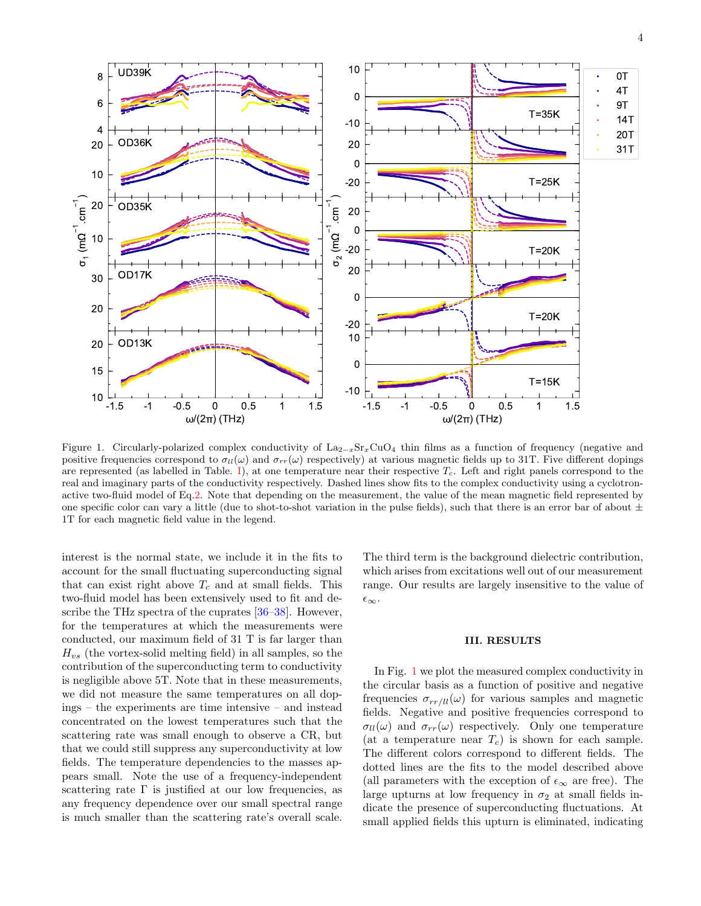

<span id="page-3-0"></span>Figure 1. Circularly-polarized complex conductivity of La<sub>2−x</sub>Sr<sub>x</sub>CuO<sub>4</sub> thin films as a function of frequency (negative and positive frequencies correspond to  $\sigma_{ll}(\omega)$  and  $\sigma_{rr}(\omega)$  respectively) at various magnetic fields up to 31T. Five different dopings are represented (as labelled in Table. [I\)](#page-1-0), at one temperature near their respective  $T_c$ . Left and right panels correspond to the real and imaginary parts of the conductivity respectively. Dashed lines show fits to the complex conductivity using a cyclotronactive two-fluid model of Eq[.2.](#page-2-1) Note that depending on the measurement, the value of the mean magnetic field represented by one specific color can vary a little (due to shot-to-shot variation in the pulse fields), such that there is an error bar of about  $\pm$ 1T for each magnetic field value in the legend.

interest is the normal state, we include it in the fits to account for the small fluctuating superconducting signal that can exist right above  $T_c$  and at small fields. This two-fluid model has been extensively used to fit and describe the THz spectra of the cuprates [\[36–](#page-8-26)[38\]](#page-8-27). However, for the temperatures at which the measurements were conducted, our maximum field of 31 T is far larger than  $H_{vs}$  (the vortex-solid melting field) in all samples, so the contribution of the superconducting term to conductivity is negligible above 5T. Note that in these measurements, we did not measure the same temperatures on all dopings – the experiments are time intensive – and instead concentrated on the lowest temperatures such that the scattering rate was small enough to observe a CR, but that we could still suppress any superconductivity at low fields. The temperature dependencies to the masses appears small. Note the use of a frequency-independent scattering rate  $\Gamma$  is justified at our low frequencies, as any frequency dependence over our small spectral range is much smaller than the scattering rate's overall scale.

The third term is the background dielectric contribution, which arises from excitations well out of our measurement range. Our results are largely insensitive to the value of  $\epsilon_{\infty}$ .

#### III. RESULTS

In Fig. [1](#page-3-0) we plot the measured complex conductivity in the circular basis as a function of positive and negative frequencies  $\sigma_{rr/ll}(\omega)$  for various samples and magnetic fields. Negative and positive frequencies correspond to  $\sigma_{ll}(\omega)$  and  $\sigma_{rr}(\omega)$  respectively. Only one temperature (at a temperature near  $T_c$ ) is shown for each sample. The different colors correspond to different fields. The dotted lines are the fits to the model described above (all parameters with the exception of  $\epsilon_{\infty}$  are free). The large upturns at low frequency in  $\sigma_2$  at small fields indicate the presence of superconducting fluctuations. At small applied fields this upturn is eliminated, indicating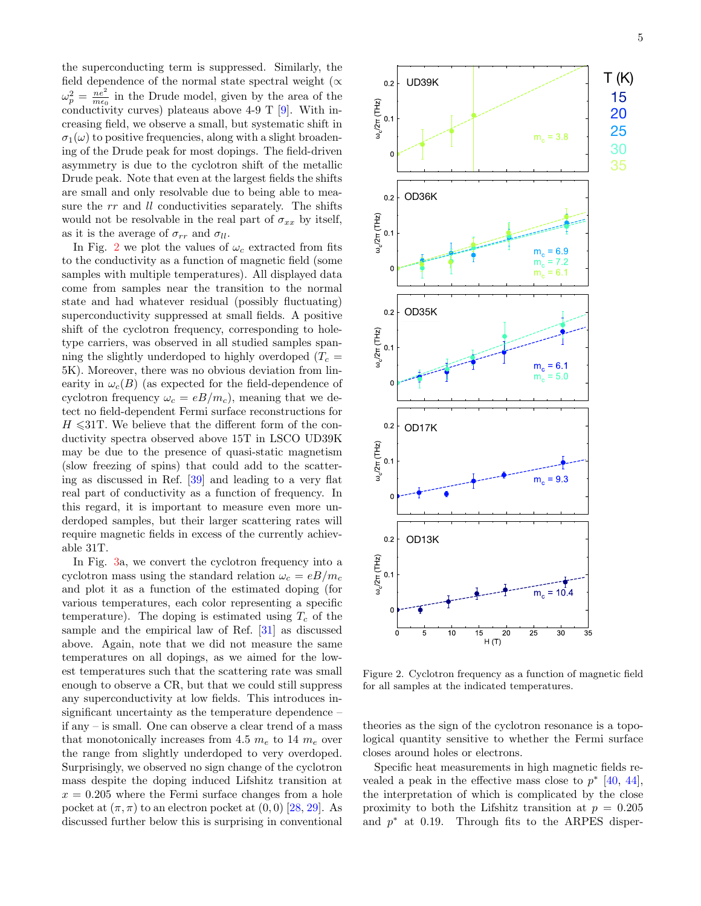the superconducting term is suppressed. Similarly, the field dependence of the normal state spectral weight ( $\propto$  $\omega_p^2 = \frac{ne^2}{me_0}$  in the Drude model, given by the area of the conductivity curves) plateaus above  $4-9$  T [\[9\]](#page-8-4). With increasing field, we observe a small, but systematic shift in  $\sigma_1(\omega)$  to positive frequencies, along with a slight broadening of the Drude peak for most dopings. The field-driven asymmetry is due to the cyclotron shift of the metallic Drude peak. Note that even at the largest fields the shifts are small and only resolvable due to being able to measure the rr and *ll* conductivities separately. The shifts would not be resolvable in the real part of  $\sigma_{xx}$  by itself, as it is the average of  $\sigma_{rr}$  and  $\sigma_{ll}$ .

In Fig. [2](#page-4-0) we plot the values of  $\omega_c$  extracted from fits to the conductivity as a function of magnetic field (some samples with multiple temperatures). All displayed data come from samples near the transition to the normal state and had whatever residual (possibly fluctuating) superconductivity suppressed at small fields. A positive shift of the cyclotron frequency, corresponding to holetype carriers, was observed in all studied samples spanning the slightly underdoped to highly overdoped  $(T_c =$ 5K). Moreover, there was no obvious deviation from linearity in  $\omega_c(B)$  (as expected for the field-dependence of cyclotron frequency  $\omega_c = eB/m_c$ , meaning that we detect no field-dependent Fermi surface reconstructions for  $H \le 31$ T. We believe that the different form of the conductivity spectra observed above 15T in LSCO UD39K may be due to the presence of quasi-static magnetism (slow freezing of spins) that could add to the scattering as discussed in Ref. [\[39\]](#page-8-28) and leading to a very flat real part of conductivity as a function of frequency. In this regard, it is important to measure even more underdoped samples, but their larger scattering rates will require magnetic fields in excess of the currently achievable 31T.

In Fig. [3a](#page-5-0), we convert the cyclotron frequency into a cyclotron mass using the standard relation  $\omega_c = eB/m_c$ and plot it as a function of the estimated doping (for various temperatures, each color representing a specific temperature). The doping is estimated using  $T_c$  of the sample and the empirical law of Ref. [\[31\]](#page-8-20) as discussed above. Again, note that we did not measure the same temperatures on all dopings, as we aimed for the lowest temperatures such that the scattering rate was small enough to observe a CR, but that we could still suppress any superconductivity at low fields. This introduces insignificant uncertainty as the temperature dependence – if any – is small. One can observe a clear trend of a mass that monotonically increases from 4.5  $m_e$  to 14  $m_e$  over the range from slightly underdoped to very overdoped. Surprisingly, we observed no sign change of the cyclotron mass despite the doping induced Lifshitz transition at  $x = 0.205$  where the Fermi surface changes from a hole pocket at  $(\pi, \pi)$  to an electron pocket at  $(0, 0)$  [\[28,](#page-8-18) [29\]](#page-8-19). As discussed further below this is surprising in conventional



<span id="page-4-0"></span>Figure 2. Cyclotron frequency as a function of magnetic field for all samples at the indicated temperatures.

theories as the sign of the cyclotron resonance is a topological quantity sensitive to whether the Fermi surface closes around holes or electrons.

Specific heat measurements in high magnetic fields revealed a peak in the effective mass close to  $p^*$  [\[40,](#page-8-29) [44\]](#page-8-30), the interpretation of which is complicated by the close proximity to both the Lifshitz transition at  $p = 0.205$ and  $p^*$  at 0.19. Through fits to the ARPES disper-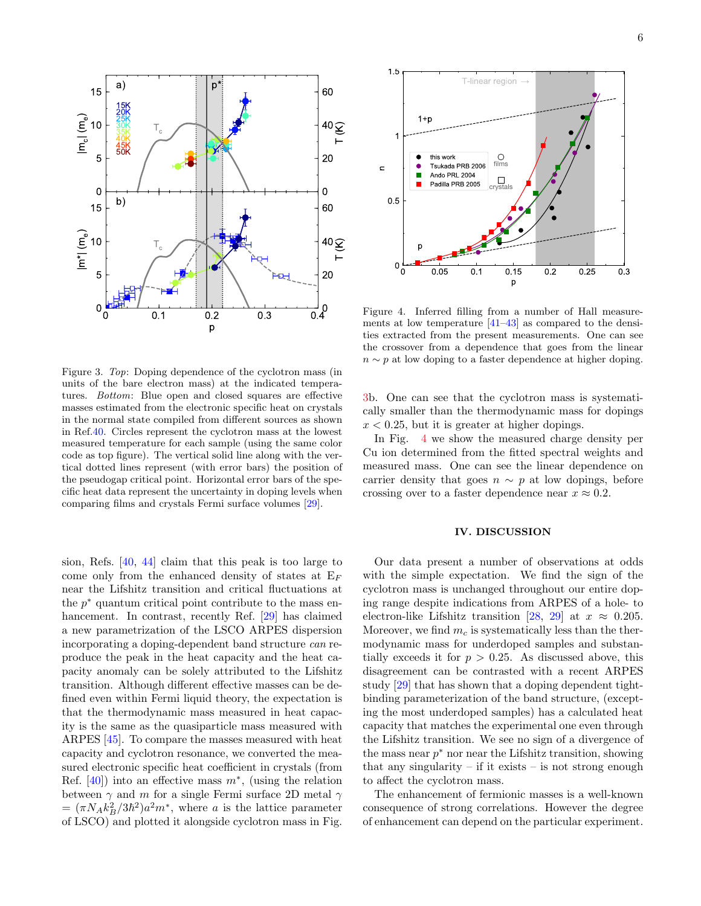

<span id="page-5-0"></span>Figure 3. Top: Doping dependence of the cyclotron mass (in units of the bare electron mass) at the indicated temperatures. Bottom: Blue open and closed squares are effective masses estimated from the electronic specific heat on crystals in the normal state compiled from different sources as shown in Ref[.40.](#page-8-29) Circles represent the cyclotron mass at the lowest measured temperature for each sample (using the same color code as top figure). The vertical solid line along with the vertical dotted lines represent (with error bars) the position of the pseudogap critical point. Horizontal error bars of the specific heat data represent the uncertainty in doping levels when comparing films and crystals Fermi surface volumes [\[29\]](#page-8-19).

sion, Refs. [\[40,](#page-8-29) [44\]](#page-8-30) claim that this peak is too large to come only from the enhanced density of states at  $E_F$ near the Lifshitz transition and critical fluctuations at the  $p^*$  quantum critical point contribute to the mass enhancement. In contrast, recently Ref. [\[29\]](#page-8-19) has claimed a new parametrization of the LSCO ARPES dispersion incorporating a doping-dependent band structure can reproduce the peak in the heat capacity and the heat capacity anomaly can be solely attributed to the Lifshitz transition. Although different effective masses can be defined even within Fermi liquid theory, the expectation is that the thermodynamic mass measured in heat capacity is the same as the quasiparticle mass measured with ARPES [\[45\]](#page-8-31). To compare the masses measured with heat capacity and cyclotron resonance, we converted the measured electronic specific heat coefficient in crystals (from Ref.  $[40]$ ) into an effective mass  $m^*$ , (using the relation between  $\gamma$  and m for a single Fermi surface 2D metal  $\gamma$  $= (\pi N_A k_B^2/3\hbar^2)a^2m^*$ , where a is the lattice parameter of LSCO) and plotted it alongside cyclotron mass in Fig.



<span id="page-5-1"></span>Figure 4. Inferred filling from a number of Hall measurements at low temperature [\[41–](#page-8-32)[43\]](#page-8-33) as compared to the densities extracted from the present measurements. One can see the crossover from a dependence that goes from the linear  $n \sim p$  at low doping to a faster dependence at higher doping.

[3b](#page-5-0). One can see that the cyclotron mass is systematically smaller than the thermodynamic mass for dopings  $x < 0.25$ , but it is greater at higher dopings.

In Fig. [4](#page-5-1) we show the measured charge density per Cu ion determined from the fitted spectral weights and measured mass. One can see the linear dependence on carrier density that goes  $n \sim p$  at low dopings, before crossing over to a faster dependence near  $x \approx 0.2$ .

## IV. DISCUSSION

Our data present a number of observations at odds with the simple expectation. We find the sign of the cyclotron mass is unchanged throughout our entire doping range despite indications from ARPES of a hole- to electron-like Lifshitz transition [\[28,](#page-8-18) [29\]](#page-8-19) at  $x \approx 0.205$ . Moreover, we find  $m<sub>c</sub>$  is systematically less than the thermodynamic mass for underdoped samples and substantially exceeds it for  $p > 0.25$ . As discussed above, this disagreement can be contrasted with a recent ARPES study [\[29\]](#page-8-19) that has shown that a doping dependent tightbinding parameterization of the band structure, (excepting the most underdoped samples) has a calculated heat capacity that matches the experimental one even through the Lifshitz transition. We see no sign of a divergence of the mass near  $p^*$  nor near the Lifshitz transition, showing that any singularity  $-$  if it exists  $-$  is not strong enough to affect the cyclotron mass.

The enhancement of fermionic masses is a well-known consequence of strong correlations. However the degree of enhancement can depend on the particular experiment.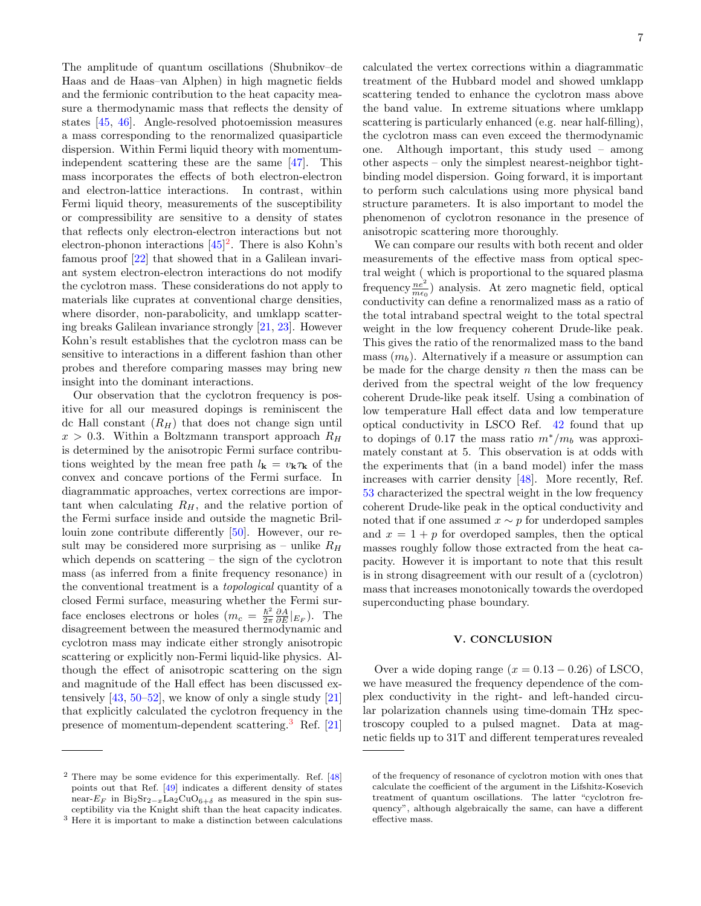The amplitude of quantum oscillations (Shubnikov–de Haas and de Haas–van Alphen) in high magnetic fields and the fermionic contribution to the heat capacity measure a thermodynamic mass that reflects the density of states [\[45,](#page-8-31) [46\]](#page-8-34). Angle-resolved photoemission measures a mass corresponding to the renormalized quasiparticle dispersion. Within Fermi liquid theory with momentumindependent scattering these are the same [\[47\]](#page-8-35). This mass incorporates the effects of both electron-electron and electron-lattice interactions. In contrast, within Fermi liquid theory, measurements of the susceptibility or compressibility are sensitive to a density of states that reflects only electron-electron interactions but not electron-phonon interactions  $[45]^2$  $[45]^2$ . There is also Kohn's famous proof [\[22\]](#page-8-12) that showed that in a Galilean invariant system electron-electron interactions do not modify the cyclotron mass. These considerations do not apply to materials like cuprates at conventional charge densities, where disorder, non-parabolicity, and umklapp scattering breaks Galilean invariance strongly [\[21,](#page-8-11) [23\]](#page-8-13). However Kohn's result establishes that the cyclotron mass can be sensitive to interactions in a different fashion than other probes and therefore comparing masses may bring new insight into the dominant interactions.

Our observation that the cyclotron frequency is positive for all our measured dopings is reminiscent the dc Hall constant  $(R_H)$  that does not change sign until  $x > 0.3$ . Within a Boltzmann transport approach  $R_H$ is determined by the anisotropic Fermi surface contributions weighted by the mean free path  $l_{\mathbf{k}} = v_{\mathbf{k}} \tau_{\mathbf{k}}$  of the convex and concave portions of the Fermi surface. In diagrammatic approaches, vertex corrections are important when calculating  $R_H$ , and the relative portion of the Fermi surface inside and outside the magnetic Brillouin zone contribute differently [\[50\]](#page-9-0). However, our result may be considered more surprising as – unlike  $R_H$ which depends on scattering – the sign of the cyclotron mass (as inferred from a finite frequency resonance) in the conventional treatment is a topological quantity of a closed Fermi surface, measuring whether the Fermi surface encloses electrons or holes  $(m_c = \frac{\hbar^2}{2\pi})$  $\frac{\hbar^2}{2\pi} \frac{\partial A}{\partial E}|_{E_F}$ ). The disagreement between the measured thermodynamic and cyclotron mass may indicate either strongly anisotropic scattering or explicitly non-Fermi liquid-like physics. Although the effect of anisotropic scattering on the sign and magnitude of the Hall effect has been discussed extensively  $[43, 50-52]$  $[43, 50-52]$ , we know of only a single study  $[21]$ that explicitly calculated the cyclotron frequency in the presence of momentum-dependent scattering.[3](#page-6-1) Ref. [\[21\]](#page-8-11)

calculated the vertex corrections within a diagrammatic treatment of the Hubbard model and showed umklapp scattering tended to enhance the cyclotron mass above the band value. In extreme situations where umklapp scattering is particularly enhanced (e.g. near half-filling), the cyclotron mass can even exceed the thermodynamic one. Although important, this study used – among other aspects – only the simplest nearest-neighbor tightbinding model dispersion. Going forward, it is important to perform such calculations using more physical band structure parameters. It is also important to model the phenomenon of cyclotron resonance in the presence of anisotropic scattering more thoroughly.

We can compare our results with both recent and older measurements of the effective mass from optical spectral weight ( which is proportional to the squared plasma frequency  $\frac{ne^2}{me_0}$  analysis. At zero magnetic field, optical conductivity can define a renormalized mass as a ratio of the total intraband spectral weight to the total spectral weight in the low frequency coherent Drude-like peak. This gives the ratio of the renormalized mass to the band mass  $(m_b)$ . Alternatively if a measure or assumption can be made for the charge density  $n$  then the mass can be derived from the spectral weight of the low frequency coherent Drude-like peak itself. Using a combination of low temperature Hall effect data and low temperature optical conductivity in LSCO Ref. [42](#page-8-36) found that up to dopings of 0.17 the mass ratio  $m^*/m_b$  was approximately constant at 5. This observation is at odds with the experiments that (in a band model) infer the mass increases with carrier density [\[48\]](#page-9-2). More recently, Ref. [53](#page-9-4) characterized the spectral weight in the low frequency coherent Drude-like peak in the optical conductivity and noted that if one assumed  $x \sim p$  for underdoped samples and  $x = 1 + p$  for overdoped samples, then the optical masses roughly follow those extracted from the heat capacity. However it is important to note that this result is in strong disagreement with our result of a (cyclotron) mass that increases monotonically towards the overdoped superconducting phase boundary.

### V. CONCLUSION

Over a wide doping range  $(x = 0.13 - 0.26)$  of LSCO, we have measured the frequency dependence of the complex conductivity in the right- and left-handed circular polarization channels using time-domain THz spectroscopy coupled to a pulsed magnet. Data at magnetic fields up to 31T and different temperatures revealed

<span id="page-6-0"></span> $2$  There may be some evidence for this experimentally. Ref.  $[48]$ points out that Ref. [\[49\]](#page-9-3) indicates a different density of states near- $E_F$  in Bi<sub>2</sub>Sr<sub>2−x</sub>La<sub>2</sub>CuO<sub>6+δ</sub> as measured in the spin susceptibility via the Knight shift than the heat capacity indicates.

<span id="page-6-1"></span><sup>3</sup> Here it is important to make a distinction between calculations

of the frequency of resonance of cyclotron motion with ones that calculate the coefficient of the argument in the Lifshitz-Kosevich treatment of quantum oscillations. The latter "cyclotron frequency", although algebraically the same, can have a different effective mass.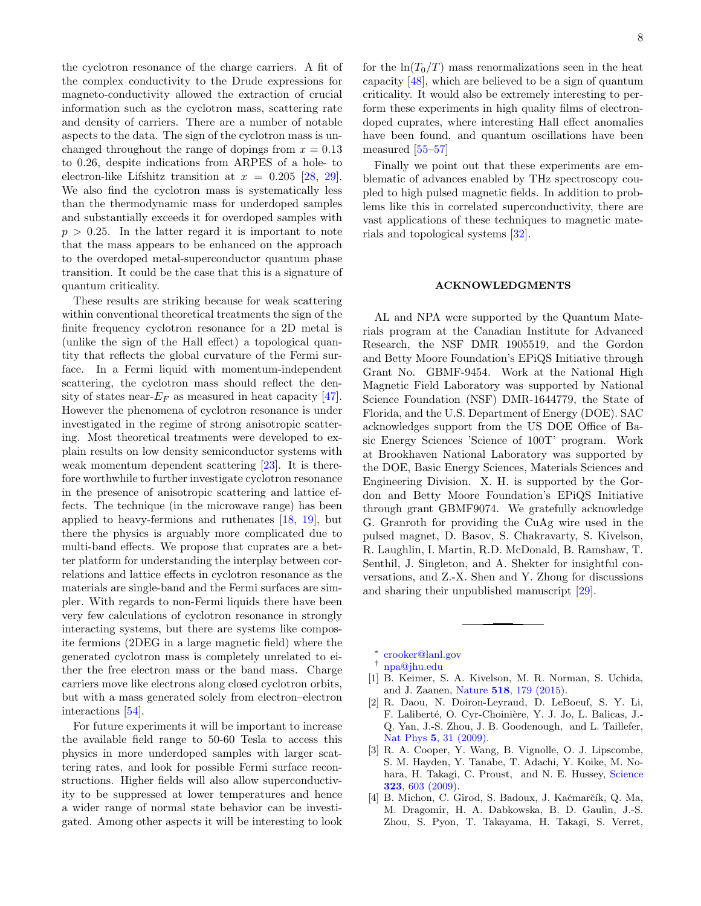the cyclotron resonance of the charge carriers. A fit of the complex conductivity to the Drude expressions for magneto-conductivity allowed the extraction of crucial information such as the cyclotron mass, scattering rate and density of carriers. There are a number of notable aspects to the data. The sign of the cyclotron mass is unchanged throughout the range of dopings from  $x = 0.13$ to 0.26, despite indications from ARPES of a hole- to electron-like Lifshitz transition at  $x = 0.205$  [\[28,](#page-8-18) [29\]](#page-8-19). We also find the cyclotron mass is systematically less than the thermodynamic mass for underdoped samples and substantially exceeds it for overdoped samples with  $p > 0.25$ . In the latter regard it is important to note that the mass appears to be enhanced on the approach to the overdoped metal-superconductor quantum phase transition. It could be the case that this is a signature of quantum criticality.

These results are striking because for weak scattering within conventional theoretical treatments the sign of the finite frequency cyclotron resonance for a 2D metal is (unlike the sign of the Hall effect) a topological quantity that reflects the global curvature of the Fermi surface. In a Fermi liquid with momentum-independent scattering, the cyclotron mass should reflect the density of states near- $E_F$  as measured in heat capacity [\[47\]](#page-8-35). However the phenomena of cyclotron resonance is under investigated in the regime of strong anisotropic scattering. Most theoretical treatments were developed to explain results on low density semiconductor systems with weak momentum dependent scattering [\[23\]](#page-8-13). It is therefore worthwhile to further investigate cyclotron resonance in the presence of anisotropic scattering and lattice effects. The technique (in the microwave range) has been applied to heavy-fermions and ruthenates [\[18,](#page-8-37) [19\]](#page-8-9), but there the physics is arguably more complicated due to multi-band effects. We propose that cuprates are a better platform for understanding the interplay between correlations and lattice effects in cyclotron resonance as the materials are single-band and the Fermi surfaces are simpler. With regards to non-Fermi liquids there have been very few calculations of cyclotron resonance in strongly interacting systems, but there are systems like composite fermions (2DEG in a large magnetic field) where the generated cyclotron mass is completely unrelated to either the free electron mass or the band mass. Charge carriers move like electrons along closed cyclotron orbits, but with a mass generated solely from electron–electron interactions [\[54\]](#page-9-5).

For future experiments it will be important to increase the available field range to 50-60 Tesla to access this physics in more underdoped samples with larger scattering rates, and look for possible Fermi surface reconstructions. Higher fields will also allow superconductivity to be suppressed at lower temperatures and hence a wider range of normal state behavior can be investigated. Among other aspects it will be interesting to look

for the  $\ln(T_0/T)$  mass renormalizations seen in the heat capacity [\[48\]](#page-9-2), which are believed to be a sign of quantum criticality. It would also be extremely interesting to perform these experiments in high quality films of electrondoped cuprates, where interesting Hall effect anomalies have been found, and quantum oscillations have been measured [\[55](#page-9-6)[–57\]](#page-9-7)

Finally we point out that these experiments are emblematic of advances enabled by THz spectroscopy coupled to high pulsed magnetic fields. In addition to problems like this in correlated superconductivity, there are vast applications of these techniques to magnetic materials and topological systems [\[32\]](#page-8-22).

#### ACKNOWLEDGMENTS

AL and NPA were supported by the Quantum Materials program at the Canadian Institute for Advanced Research, the NSF DMR 1905519, and the Gordon and Betty Moore Foundation's EPiQS Initiative through Grant No. GBMF-9454. Work at the National High Magnetic Field Laboratory was supported by National Science Foundation (NSF) DMR-1644779, the State of Florida, and the U.S. Department of Energy (DOE). SAC acknowledges support from the US DOE Office of Basic Energy Sciences 'Science of 100T' program. Work at Brookhaven National Laboratory was supported by the DOE, Basic Energy Sciences, Materials Sciences and Engineering Division. X. H. is supported by the Gordon and Betty Moore Foundation's EPiQS Initiative through grant GBMF9074. We gratefully acknowledge G. Granroth for providing the CuAg wire used in the pulsed magnet, D. Basov, S. Chakravarty, S. Kivelson, R. Laughlin, I. Martin, R.D. McDonald, B. Ramshaw, T. Senthil, J. Singleton, and A. Shekter for insightful conversations, and Z.-X. Shen and Y. Zhong for discussions and sharing their unpublished manuscript [\[29\]](#page-8-19).

- <span id="page-7-0"></span>∗ [crooker@lanl.gov](mailto:crooker@lanl.gov)
- <span id="page-7-1"></span>† [npa@jhu.edu](mailto:npa@jhu.edu)
- <span id="page-7-2"></span>[1] B. Keimer, S. A. Kivelson, M. R. Norman, S. Uchida, and J. Zaanen, Nature 518[, 179 \(2015\).](http://dx.doi.org/10.1038/nature14165)
- <span id="page-7-3"></span>[2] R. Daou, N. Doiron-Leyraud, D. LeBoeuf, S. Y. Li, F. Laliberté, O. Cyr-Choinière, Y. J. Jo, L. Balicas, J.-Q. Yan, J.-S. Zhou, J. B. Goodenough, and L. Taillefer, Nat Phys **5**[, 31 \(2009\).](http://dx.doi.org/10.1038/nphys1109)
- <span id="page-7-4"></span>[3] R. A. Cooper, Y. Wang, B. Vignolle, O. J. Lipscombe, S. M. Hayden, Y. Tanabe, T. Adachi, Y. Koike, M. Nohara, H. Takagi, C. Proust, and N. E. Hussey, [Science](http://dx.doi.org/10.1126/science.1165015) 323[, 603 \(2009\).](http://dx.doi.org/10.1126/science.1165015)
- <span id="page-7-5"></span>[4] B. Michon, C. Girod, S. Badoux, J. Kačmarčík, Q. Ma, M. Dragomir, H. A. Dabkowska, B. D. Gaulin, J.-S. Zhou, S. Pyon, T. Takayama, H. Takagi, S. Verret,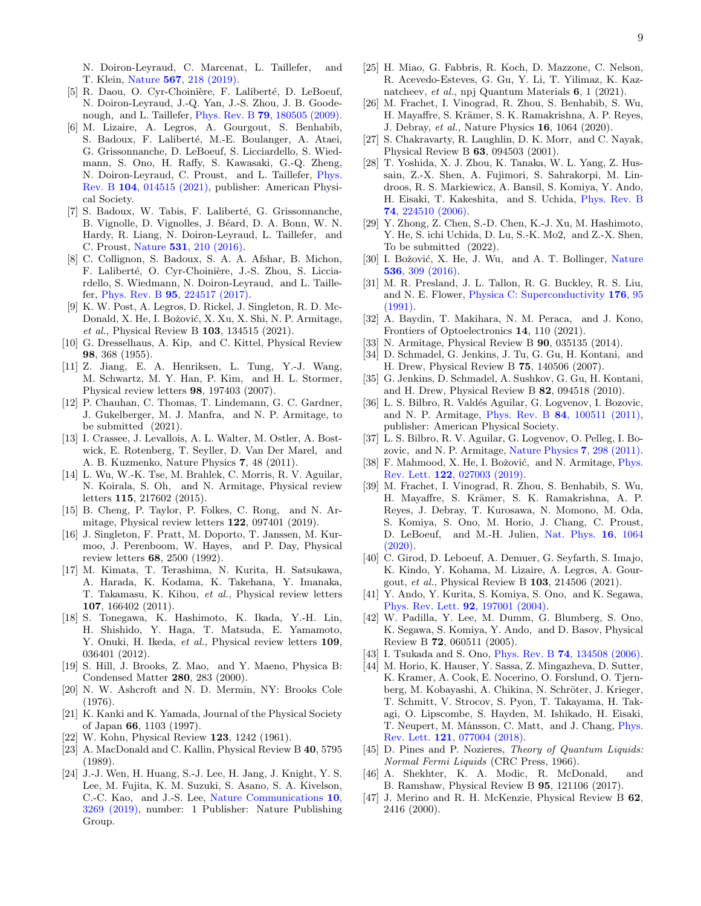N. Doiron-Leyraud, C. Marcenat, L. Taillefer, and T. Klein, Nature 567[, 218 \(2019\).](http://dx.doi.org/ 10.1038/s41586-019-0932-x)

- <span id="page-8-0"></span>[5] R. Daou, O. Cyr-Choinière, F. Laliberté, D. LeBoeuf, N. Doiron-Leyraud, J.-Q. Yan, J.-S. Zhou, J. B. Goodenough, and L. Taillefer, Phys. Rev. B 79[, 180505 \(2009\).](http://dx.doi.org/ 10.1103/PhysRevB.79.180505)
- <span id="page-8-1"></span>[6] M. Lizaire, A. Legros, A. Gourgout, S. Benhabib, S. Badoux, F. Laliberté, M.-E. Boulanger, A. Ataei, G. Grissonnanche, D. LeBoeuf, S. Licciardello, S. Wiedmann, S. Ono, H. Raffy, S. Kawasaki, G.-Q. Zheng, N. Doiron-Leyraud, C. Proust, and L. Taillefer, [Phys.](http://dx.doi.org/ 10.1103/PhysRevB.104.014515) Rev. B 104[, 014515 \(2021\),](http://dx.doi.org/ 10.1103/PhysRevB.104.014515) publisher: American Physical Society.
- <span id="page-8-2"></span>[7] S. Badoux, W. Tabis, F. Laliberté, G. Grissonnanche, B. Vignolle, D. Vignolles, J. Béard, D. A. Bonn, W. N. Hardy, R. Liang, N. Doiron-Leyraud, L. Taillefer, and C. Proust, Nature 531[, 210 \(2016\).](http://dx.doi.org/10.1038/nature16983)
- <span id="page-8-3"></span>[8] C. Collignon, S. Badoux, S. A. A. Afshar, B. Michon, F. Laliberté, O. Cyr-Choinière, J.-S. Zhou, S. Licciardello, S. Wiedmann, N. Doiron-Leyraud, and L. Taillefer, Phys. Rev. B 95[, 224517 \(2017\).](http://dx.doi.org/ 10.1103/PhysRevB.95.224517)
- <span id="page-8-4"></span>[9] K. W. Post, A. Legros, D. Rickel, J. Singleton, R. D. Mc-Donald, X. He, I. Božović, X. Xu, X. Shi, N. P. Armitage, et al., Physical Review B 103, 134515 (2021).
- <span id="page-8-5"></span>[10] G. Dresselhaus, A. Kip, and C. Kittel, Physical Review 98, 368 (1955).
- <span id="page-8-6"></span>[11] Z. Jiang, E. A. Henriksen, L. Tung, Y.-J. Wang, M. Schwartz, M. Y. Han, P. Kim, and H. L. Stormer, Physical review letters 98, 197403 (2007).
- [12] P. Chauhan, C. Thomas, T. Lindemann, G. C. Gardner, J. Gukelberger, M. J. Manfra, and N. P. Armitage, to be submitted (2021).
- [13] I. Crassee, J. Levallois, A. L. Walter, M. Ostler, A. Bostwick, E. Rotenberg, T. Seyller, D. Van Der Marel, and A. B. Kuzmenko, Nature Physics 7, 48 (2011).
- [14] L. Wu, W.-K. Tse, M. Brahlek, C. Morris, R. V. Aguilar, N. Koirala, S. Oh, and N. Armitage, Physical review letters 115, 217602 (2015).
- <span id="page-8-7"></span>[15] B. Cheng, P. Taylor, P. Folkes, C. Rong, and N. Armitage, Physical review letters 122, 097401 (2019).
- <span id="page-8-8"></span>[16] J. Singleton, F. Pratt, M. Doporto, T. Janssen, M. Kurmoo, J. Perenboom, W. Hayes, and P. Day, Physical review letters 68, 2500 (1992).
- [17] M. Kimata, T. Terashima, N. Kurita, H. Satsukawa, A. Harada, K. Kodama, K. Takehana, Y. Imanaka, T. Takamasu, K. Kihou, et al., Physical review letters 107, 166402 (2011).
- <span id="page-8-37"></span>[18] S. Tonegawa, K. Hashimoto, K. Ikada, Y.-H. Lin, H. Shishido, Y. Haga, T. Matsuda, E. Yamamoto, Y. Onuki, H. Ikeda, et al., Physical review letters 109, 036401 (2012).
- <span id="page-8-9"></span>[19] S. Hill, J. Brooks, Z. Mao, and Y. Maeno, Physica B: Condensed Matter 280, 283 (2000).
- <span id="page-8-10"></span>[20] N. W. Ashcroft and N. D. Mermin, NY: Brooks Cole (1976).
- <span id="page-8-11"></span>[21] K. Kanki and K. Yamada, Journal of the Physical Society of Japan 66, 1103 (1997).
- <span id="page-8-12"></span>[22] W. Kohn, Physical Review 123, 1242 (1961).
- <span id="page-8-13"></span>[23] A. MacDonald and C. Kallin, Physical Review B 40, 5795 (1989).
- <span id="page-8-14"></span>[24] J.-J. Wen, H. Huang, S.-J. Lee, H. Jang, J. Knight, Y. S. Lee, M. Fujita, K. M. Suzuki, S. Asano, S. A. Kivelson, C.-C. Kao, and J.-S. Lee, [Nature Communications](http://dx.doi.org/ 10.1038/s41467-019-11167-z) 10, [3269 \(2019\),](http://dx.doi.org/ 10.1038/s41467-019-11167-z) number: 1 Publisher: Nature Publishing Group.
- <span id="page-8-15"></span>[25] H. Miao, G. Fabbris, R. Koch, D. Mazzone, C. Nelson, R. Acevedo-Esteves, G. Gu, Y. Li, T. Yilimaz, K. Kaznatcheev, et al., npj Quantum Materials 6, 1 (2021).
- <span id="page-8-16"></span>[26] M. Frachet, I. Vinograd, R. Zhou, S. Benhabib, S. Wu, H. Mayaffre, S. Krämer, S. K. Ramakrishna, A. P. Reyes, J. Debray, et al., Nature Physics 16, 1064 (2020).
- <span id="page-8-17"></span>[27] S. Chakravarty, R. Laughlin, D. K. Morr, and C. Nayak, Physical Review B 63, 094503 (2001).
- <span id="page-8-18"></span>[28] T. Yoshida, X. J. Zhou, K. Tanaka, W. L. Yang, Z. Hussain, Z.-X. Shen, A. Fujimori, S. Sahrakorpi, M. Lindroos, R. S. Markiewicz, A. Bansil, S. Komiya, Y. Ando, H. Eisaki, T. Kakeshita, and S. Uchida, [Phys. Rev. B](http://dx.doi.org/10.1103/PhysRevB.74.224510) 74[, 224510 \(2006\).](http://dx.doi.org/10.1103/PhysRevB.74.224510)
- <span id="page-8-19"></span>[29] Y. Zhong, Z. Chen, S.-D. Chen, K.-J. Xu, M. Hashimoto, Y. He, S. ichi Uchida, D. Lu, S.-K. Mo2, and Z.-X. Shen, To be submitted (2022).
- <span id="page-8-21"></span>[30] I. Božović, X. He, J. Wu, and A. T. Bollinger, [Nature](http://dx.doi.org/ 10.1038/nature19061) 536[, 309 \(2016\).](http://dx.doi.org/ 10.1038/nature19061)
- <span id="page-8-20"></span>[31] M. R. Presland, J. L. Tallon, R. G. Buckley, R. S. Liu, and N. E. Flower, [Physica C: Superconductivity](http://dx.doi.org/10.1016/0921-4534(91)90700-9) 176, 95 [\(1991\).](http://dx.doi.org/10.1016/0921-4534(91)90700-9)
- <span id="page-8-22"></span>[32] A. Baydin, T. Makihara, N. M. Peraca, and J. Kono, Frontiers of Optoelectronics 14, 110 (2021).
- <span id="page-8-23"></span>[33] N. Armitage, Physical Review B 90, 035135 (2014).
- <span id="page-8-24"></span>[34] D. Schmadel, G. Jenkins, J. Tu, G. Gu, H. Kontani, and H. Drew, Physical Review B 75, 140506 (2007).
- <span id="page-8-25"></span>[35] G. Jenkins, D. Schmadel, A. Sushkov, G. Gu, H. Kontani, and H. Drew, Physical Review B 82, 094518 (2010).
- <span id="page-8-26"></span>[36] L. S. Bilbro, R. Valdés Aguilar, G. Logvenov, I. Bozovic, and N. P. Armitage, Phys. Rev. B 84[, 100511 \(2011\),](http://dx.doi.org/10.1103/PhysRevB.84.100511) publisher: American Physical Society.
- [37] L. S. Bilbro, R. V. Aguilar, G. Logvenov, O. Pelleg, I. Bozovic, and N. P. Armitage, [Nature Physics](http://dx.doi.org/ 10.1038/nphys1912) 7, 298 (2011).
- <span id="page-8-27"></span>[38] F. Mahmood, X. He, I. Božović, and N. Armitage, *[Phys.](http://dx.doi.org/10.1103/PhysRevLett.122.027003)* Rev. Lett. 122[, 027003 \(2019\).](http://dx.doi.org/10.1103/PhysRevLett.122.027003)
- <span id="page-8-28"></span>[39] M. Frachet, I. Vinograd, R. Zhou, S. Benhabib, S. Wu, H. Mayaffre, S. Krämer, S. K. Ramakrishna, A. P. Reyes, J. Debray, T. Kurosawa, N. Momono, M. Oda, S. Komiya, S. Ono, M. Horio, J. Chang, C. Proust, D. LeBoeuf, and M.-H. Julien, [Nat. Phys.](http://dx.doi.org/ 10.1038/s41567-020-0950-5) 16, 1064  $(2020).$
- <span id="page-8-29"></span>[40] C. Girod, D. Leboeuf, A. Demuer, G. Seyfarth, S. Imajo, K. Kindo, Y. Kohama, M. Lizaire, A. Legros, A. Gourgout, et al., Physical Review B 103, 214506 (2021).
- <span id="page-8-32"></span>[41] Y. Ando, Y. Kurita, S. Komiya, S. Ono, and K. Segawa, [Phys. Rev. Lett.](http://dx.doi.org/ 10.1103/PhysRevLett.92.197001) 92, 197001 (2004).
- <span id="page-8-36"></span>[42] W. Padilla, Y. Lee, M. Dumm, G. Blumberg, S. Ono, K. Segawa, S. Komiya, Y. Ando, and D. Basov, Physical Review B 72, 060511 (2005).
- <span id="page-8-33"></span>[43] I. Tsukada and S. Ono, Phys. Rev. B 74[, 134508 \(2006\).](http://dx.doi.org/10.1103/PhysRevB.74.134508)
- <span id="page-8-30"></span>[44] M. Horio, K. Hauser, Y. Sassa, Z. Mingazheva, D. Sutter, K. Kramer, A. Cook, E. Nocerino, O. Forslund, O. Tjernberg, M. Kobayashi, A. Chikina, N. Schröter, J. Krieger, T. Schmitt, V. Strocov, S. Pyon, T. Takayama, H. Takagi, O. Lipscombe, S. Hayden, M. Ishikado, H. Eisaki, T. Neupert, M. Månsson, C. Matt, and J. Chang, [Phys.](http://dx.doi.org/10.1103/PhysRevLett.121.077004) Rev. Lett. 121[, 077004 \(2018\).](http://dx.doi.org/10.1103/PhysRevLett.121.077004)
- <span id="page-8-31"></span>[45] D. Pines and P. Nozieres, Theory of Quantum Liquids: Normal Fermi Liquids (CRC Press, 1966).
- <span id="page-8-34"></span>[46] A. Shekhter, K. A. Modic, R. McDonald, and B. Ramshaw, Physical Review B 95, 121106 (2017).
- <span id="page-8-35"></span>[47] J. Merino and R. H. McKenzie, Physical Review B 62, 2416 (2000).